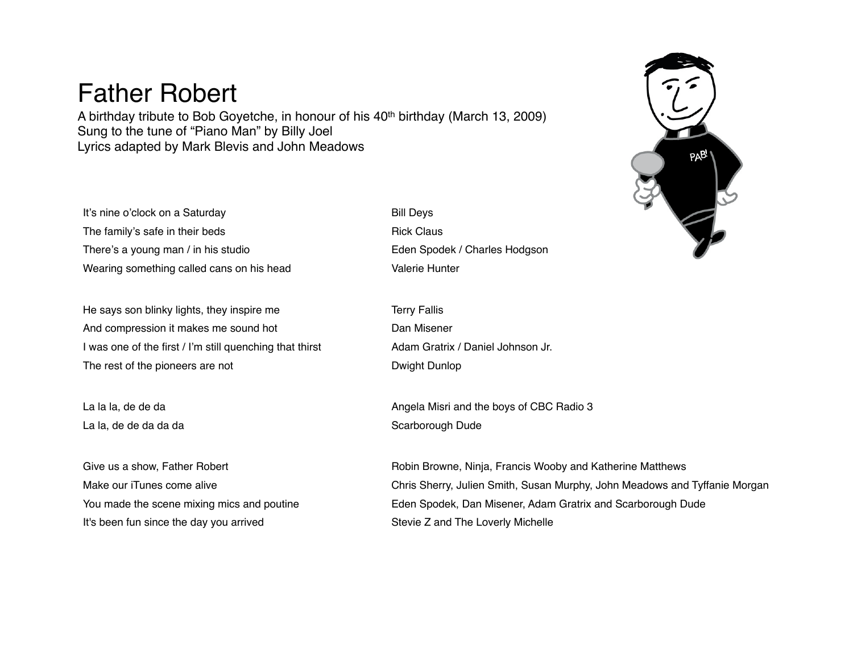## Father Robert

A birthday tribute to Bob Goyetche, in honour of his 40th birthday (March 13, 2009) Sung to the tune of "Piano Man" by Billy Joel Lyrics adapted by Mark Blevis and John Meadows

It's nine o'clock on a Saturday **Bill Deys** The family's safe in their beds Rick Claus There's a young man / in his studio **Eden Spodek / Charles Hodgson** Wearing something called cans on his head Valerie Hunter

He says son blinky lights, they inspire me Terry Fallis And compression it makes me sound hot Dan Misener I was one of the first / I'm still quenching that thirst Adam Gratrix / Daniel Johnson Jr. The rest of the pioneers are not Dwight Dunlop

La la, de de da da da Scarborough Dude

It's been fun since the day you arrived Stevie Z and The Loverly Michelle

La la la, de de da **Angela Misri and the boys of CBC Radio 3** 

Give us a show, Father Robert **Robert Robert Robin Browne, Ninja, Francis Wooby and Katherine Matthews** Make our iTunes come alive Chris Sherry, Julien Smith, Susan Murphy, John Meadows and Tyffanie Morgan You made the scene mixing mics and poutine Eden Spodek, Dan Misener, Adam Gratrix and Scarborough Dude

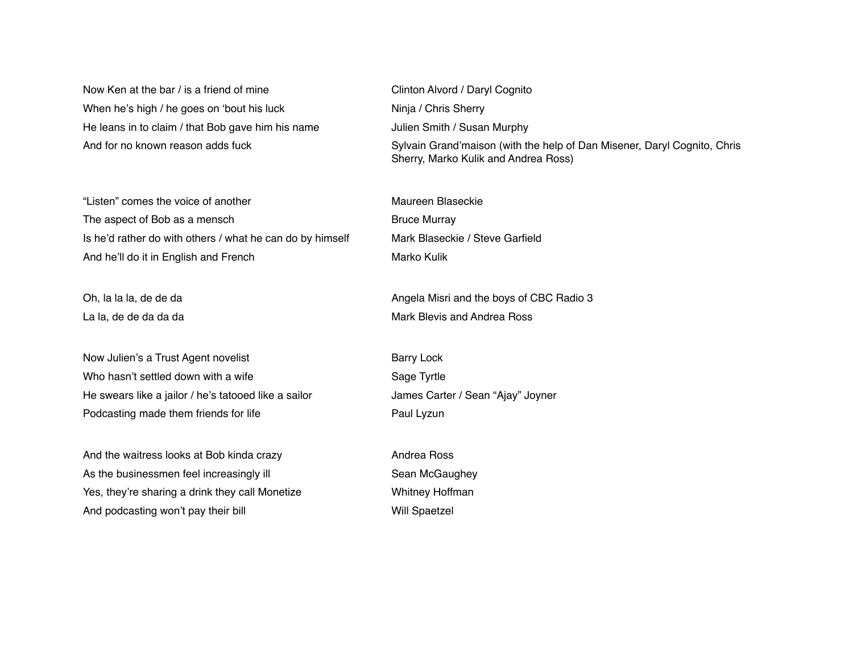Now Ken at the bar / is a friend of mine Clinton Alvord / Daryl Cognito When he's high / he goes on 'bout his luck Ninja / Chris Sherry He leans in to claim / that Bob gave him his name Julien Smith / Susan Murphy

"Listen" comes the voice of another Maureen Blaseckie The aspect of Bob as a mensch Bruce Murray Is he'd rather do with others / what he can do by himself Mark Blaseckie / Steve Garfield And he'll do it in English and French Marko Kulik Marko Kulik

Now Julien's a Trust Agent novelist **Barry Lock** Barry Lock Who hasn't settled down with a wife Sage Tyrtle Sage Tyrtle He swears like a jailor / he's tatooed like a sailor James Carter / Sean "Ajay" Joyner Podcasting made them friends for life **Paul Lyzun** Paul Lyzun

And the waitress looks at Bob kinda crazy **Andrea Ross** Andrea Ross As the businessmen feel increasingly ill Sean McGaughey Yes, they're sharing a drink they call Monetize Whitney Hoffman And podcasting won't pay their bill Will Spaetzel

And for no known reason adds fuck Sylvain Grand'maison (with the help of Dan Misener, Daryl Cognito, Chris Sherry, Marko Kulik and Andrea Ross)

Oh, la la la, de de da Angela Misri and the boys of CBC Radio 3 La la, de de da da da Mark Blevis and Andrea Ross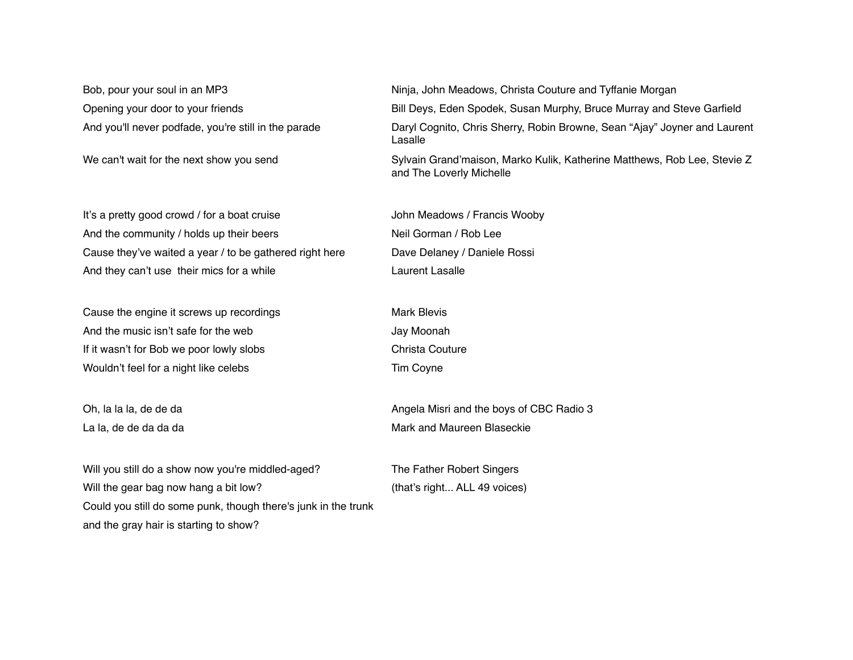It's a pretty good crowd / for a boat cruise John Meadows / Francis Wooby And the community / holds up their beers Neil Gorman / Rob Lee Cause they've waited a year / to be gathered right here Dave Delaney / Daniele Rossi And they can't use their mics for a while **Laurent Lasalle** Laurent Lasalle

Cause the engine it screws up recordings The Mark Blevis And the music isn't safe for the web Jay Moonah If it wasn't for Bob we poor lowly slobs Christa Couture Wouldn't feel for a night like celebs Tim Coyne

Will you still do a show now you're middled-aged? The Father Robert Singers Will the gear bag now hang a bit low? (that's right... ALL 49 voices) Could you still do some punk, though there's junk in the trunk and the gray hair is starting to show?

Bob, pour your soul in an MP3 Ninja, John Meadows, Christa Couture and Tyffanie Morgan Opening your door to your friends **Bill Deys, Eden Spodek, Susan Murphy, Bruce Murray and Steve Garfield** And you'll never podfade, you're still in the parade Daryl Cognito, Chris Sherry, Robin Browne, Sean "Ajay" Joyner and Laurent Lasalle We can't wait for the next show you send Sylvain Grand'maison, Marko Kulik, Katherine Matthews, Rob Lee, Stevie Z

and The Loverly Michelle

Oh, la la la, de de da Angela Misri and the boys of CBC Radio 3 La la, de de da da da Mark and Maureen Blaseckie